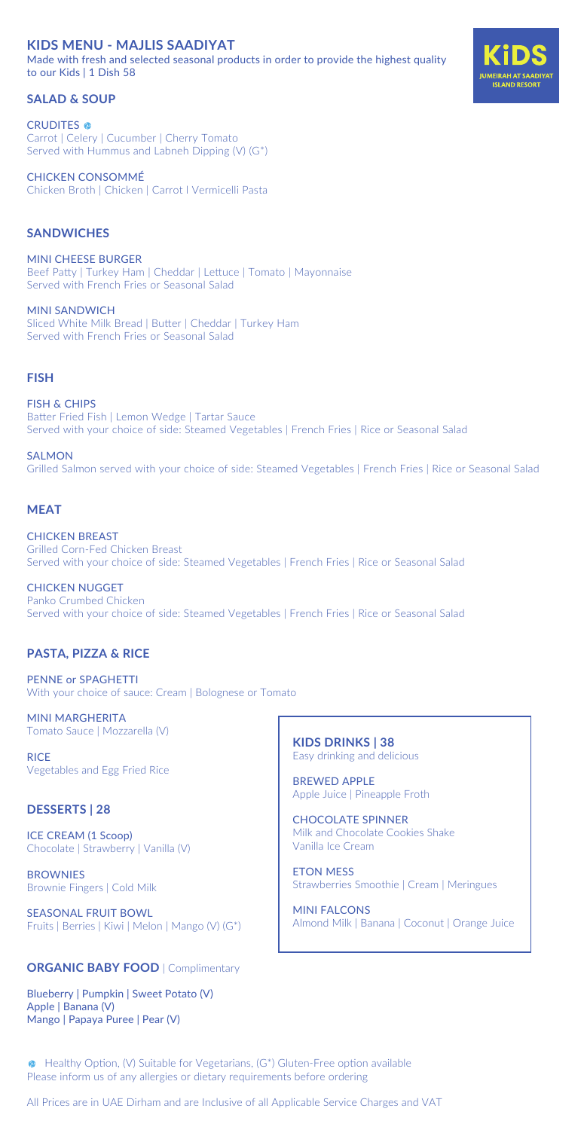## **KIDS MENU - MAJLIS SAADIYAT**

Made with fresh and selected seasonal products in order to provide the highest quality to our Kids | 1 Dish 58

### **SALAD & SOUP**

**CRUDITES** Carrot | Celery | Cucumber | Cherry Tomato Served with Hummus and Labneh Dipping (V) (G\*)

CHICKEN CONSOMMÉ Chicken Broth | Chicken | Carrot l Vermicelli Pasta

### **SANDWICHES**

MINI CHEESE BURGER Beef Patty | Turkey Ham | Cheddar | Lettuce | Tomato | Mayonnaise Served with French Fries or Seasonal Salad

MINI SANDWICH Sliced White Milk Bread | Butter | Cheddar | Turkey Ham Served with French Fries or Seasonal Salad

#### **FISH**

FISH & CHIPS Batter Fried Fish | Lemon Wedge | Tartar Sauce Served with your choice of side: Steamed Vegetables | French Fries | Rice or Seasonal Salad

**SALMON** Grilled Salmon served with your choice of side: Steamed Vegetables | French Fries | Rice or Seasonal Salad

#### **MEAT**

CHICKEN BREAST Grilled Corn-Fed Chicken Breast Served with your choice of side: Steamed Vegetables | French Fries | Rice or Seasonal Salad

CHICKEN NUGGET Panko Crumbed Chicken Served with your choice of side: Steamed Vegetables | French Fries | Rice or Seasonal Salad

### **PASTA, PIZZA & RICE**

PENNE or SPAGHETTI With your choice of sauce: Cream | Bolognese or Tomato

MINI MARGHERITA Tomato Sauce | Mozzarella (V)

**RICE** Vegetables and Egg Fried Rice

#### **DESSERTS | 28**

ICE CREAM (1 Scoop) Chocolate | Strawberry | Vanilla (V)

**BROWNIES** Brownie Fingers | Cold Milk

SEASONAL FRUIT BOWL Fruits | Berries | Kiwi | Melon | Mango (V) (G\*)

#### **ORGANIC BABY FOOD** | Complimentary

Blueberry | Pumpkin | Sweet Potato (V) Apple | Banana (V) Mango | Papaya Puree | Pear (V)

**KIDS DRINKS | 38**  Easy drinking and delicious

BREWED APPLE Apple Juice | Pineapple Froth

CHOCOLATE SPINNER Milk and Chocolate Cookies Shake Vanilla Ice Cream

ETON MESS Strawberries Smoothie | Cream | Meringues

MINI FALCONS Almond Milk | Banana | Coconut | Orange Juice

 Healthy Option, (V) Suitable for Vegetarians, (G\*) Gluten-Free option available Please inform us of any allergies or dietary requirements before ordering

All Prices are in UAE Dirham and are Inclusive of all Applicable Service Charges and VAT